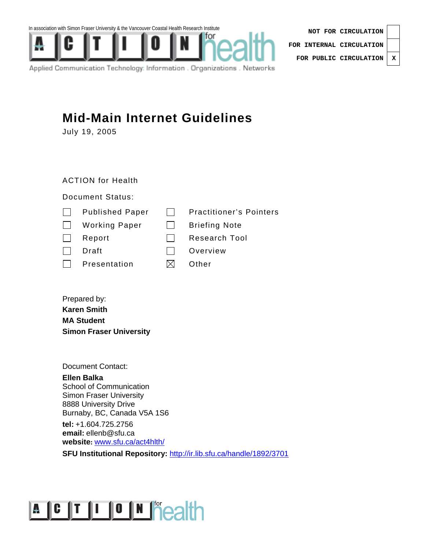In association with Simon Fraser University & the Vancouver Coastal Health Research Institute



| NOT FOR CIRCULATION              |  |
|----------------------------------|--|
| FOR INTERNAL CIRCULATION $\vert$ |  |
| FOR PUBLIC CIRCULATION   X       |  |

Applied Communication Technology: Information . Organizations . Networks

## **Mid-Main Internet Guidelines**

July 19, 2005

## ACTION for Health

## Document Status:

| $\mathbf{L}$ | <b>Published Paper</b> | <b>Practitioner's Pointers</b> |
|--------------|------------------------|--------------------------------|
| $\mathbf{I}$ | <b>Working Paper</b>   | <b>Briefing Note</b>           |
|              | Report                 | Research Tool                  |
|              | Draft                  | Overview                       |
|              | Presentation           | Other                          |
|              |                        |                                |

Prepared by: **Karen Smith MA Student Simon Fraser University** 

Document Contact:

**Ellen Balka**  School of Communication Simon Fraser University 8888 University Drive Burnaby, BC, Canada V5A 1S6

**tel:** +1.604.725.2756 **email:** ellenb@sfu.ca **website:** www.sfu.ca/act4hlth/

**SFU Institutional Repository:** http://ir.lib.sfu.ca/handle/1892/3701